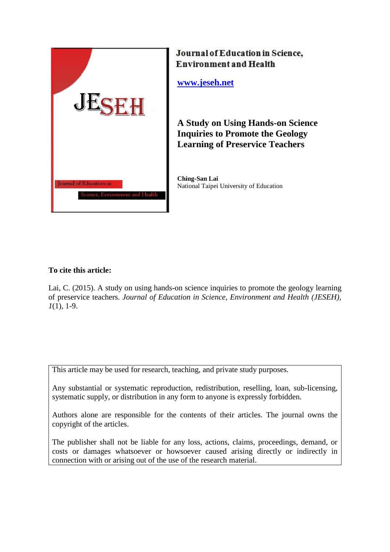

# Journal of Education in Science, **Environment and Health**

**[www.jeseh.net](http://www.jeseh.net/)**

**A Study on Using Hands-on Science Inquiries to Promote the Geology Learning of Preservice Teachers**

**Ching-San Lai** National Taipei University of Education

# **To cite this article:**

Lai, C. (2015). A study on using hands-on science inquiries to promote the geology learning of preservice teachers. *Journal of Education in Science, Environment and Health (JESEH), 1*(1), 1-9.

This article may be used for research, teaching, and private study purposes.

Any substantial or systematic reproduction, redistribution, reselling, loan, sub-licensing, systematic supply, or distribution in any form to anyone is expressly forbidden.

Authors alone are responsible for the contents of their articles. The journal owns the copyright of the articles.

The publisher shall not be liable for any loss, actions, claims, proceedings, demand, or costs or damages whatsoever or howsoever caused arising directly or indirectly in connection with or arising out of the use of the research material.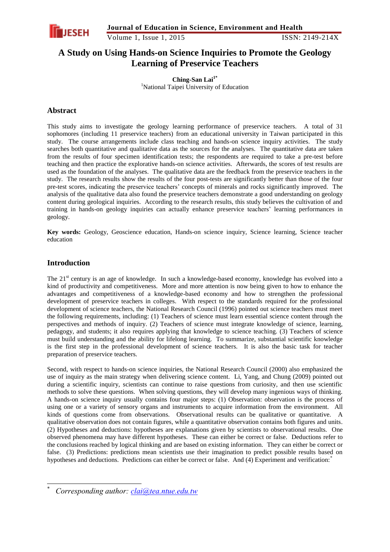

Volume 1, Issue 1, 2015 ISSN: 2149-214X

# **A Study on Using Hands-on Science Inquiries to Promote the Geology Learning of Preservice Teachers**

**Ching-San Lai1\*** <sup>1</sup>National Taipei University of Education

# **Abstract**

This study aims to investigate the geology learning performance of preservice teachers. A total of 31 sophomores (including 11 preservice teachers) from an educational university in Taiwan participated in this study. The course arrangements include class teaching and hands-on science inquiry activities. The study searches both quantitative and qualitative data as the sources for the analyses. The quantitative data are taken from the results of four specimen identification tests; the respondents are required to take a pre-test before teaching and then practice the explorative hands-on science activities. Afterwards, the scores of test results are used as the foundation of the analyses. The qualitative data are the feedback from the preservice teachers in the study. The research results show the results of the four post-tests are significantly better than those of the four pre-test scores, indicating the preservice teachers' concepts of minerals and rocks significantly improved. The analysis of the qualitative data also found the preservice teachers demonstrate a good understanding on geology content during geological inquiries. According to the research results, this study believes the cultivation of and training in hands-on geology inquiries can actually enhance preservice teachers' learning performances in geology.

**Key words:** Geology, Geoscience education, Hands-on science inquiry, Science learning, Science teacher education

## **Introduction**

-

The 21<sup>st</sup> century is an age of knowledge. In such a knowledge-based economy, knowledge has evolved into a kind of productivity and competitiveness. More and more attention is now being given to how to enhance the advantages and competitiveness of a knowledge-based economy and how to strengthen the professional development of preservice teachers in colleges. With respect to the standards required for the professional development of science teachers, the National Research Council (1996) pointed out science teachers must meet the following requirements, including: (1) Teachers of science must learn essential science content through the perspectives and methods of inquiry. (2) Teachers of science must integrate knowledge of science, learning, pedagogy, and students; it also requires applying that knowledge to science teaching. (3) Teachers of science must build understanding and the ability for lifelong learning. To summarize, substantial scientific knowledge is the first step in the professional development of science teachers. It is also the basic task for teacher preparation of preservice teachers.

Second, with respect to hands-on science inquiries, the National Research Council (2000) also emphasized the use of inquiry as the main strategy when delivering science content. Li, Yang, and Chung (2009) pointed out during a scientific inquiry, scientists can continue to raise questions from curiosity, and then use scientific methods to solve these questions. When solving questions, they will develop many ingenious ways of thinking. A hands-on science inquiry usually contains four major steps: (1) Observation: observation is the process of using one or a variety of sensory organs and instruments to acquire information from the environment. All kinds of questions come from observations. Observational results can be qualitative or quantitative. A qualitative observation does not contain figures, while a quantitative observation contains both figures and units. (2) Hypotheses and deductions: hypotheses are explanations given by scientists to observational results. One observed phenomena may have different hypotheses. These can either be correct or false. Deductions refer to the conclusions reached by logical thinking and are based on existing information. They can either be correct or false. (3) Predictions: predictions mean scientists use their imagination to predict possible results based on hypotheses and deductions. Predictions can either be correct or false. And (4) Experiment and verification:

<sup>\*</sup> *Corresponding author: [clai@tea.ntue.edu.tw](mailto:clai@tea.ntue.edu.tw)*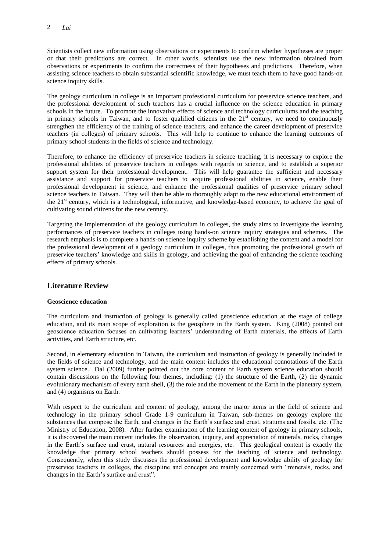Scientists collect new information using observations or experiments to confirm whether hypotheses are proper or that their predictions are correct. In other words, scientists use the new information obtained from observations or experiments to confirm the correctness of their hypotheses and predictions. Therefore, when assisting science teachers to obtain substantial scientific knowledge, we must teach them to have good hands-on science inquiry skills.

The geology curriculum in college is an important professional curriculum for preservice science teachers, and the professional development of such teachers has a crucial influence on the science education in primary schools in the future. To promote the innovative effects of science and technology curriculums and the teaching in primary schools in Taiwan, and to foster qualified citizens in the  $21<sup>st</sup>$  century, we need to continuously strengthen the efficiency of the training of science teachers, and enhance the career development of preservice teachers (in colleges) of primary schools. This will help to continue to enhance the learning outcomes of primary school students in the fields of science and technology.

Therefore, to enhance the efficiency of preservice teachers in science teaching, it is necessary to explore the professional abilities of preservice teachers in colleges with regards to science, and to establish a superior support system for their professional development. This will help guarantee the sufficient and necessary assistance and support for preservice teachers to acquire professional abilities in science, enable their professional development in science, and enhance the professional qualities of preservice primary school science teachers in Taiwan. They will then be able to thoroughly adapt to the new educational environment of the 21<sup>st</sup> century, which is a technological, informative, and knowledge-based economy, to achieve the goal of cultivating sound citizens for the new century.

Targeting the implementation of the geology curriculum in colleges, the study aims to investigate the learning performances of preservice teachers in colleges using hands-on science inquiry strategies and schemes. The research emphasis is to complete a hands-on science inquiry scheme by establishing the content and a model for the professional development of a geology curriculum in colleges, thus promoting the professional growth of preservice teachers' knowledge and skills in geology, and achieving the goal of enhancing the science teaching effects of primary schools.

# **Literature Review**

### **Geoscience education**

The curriculum and instruction of geology is generally called geoscience education at the stage of college education, and its main scope of exploration is the geosphere in the Earth system. King (2008) pointed out geoscience education focuses on cultivating learners' understanding of Earth materials, the effects of Earth activities, and Earth structure, etc.

Second, in elementary education in Taiwan, the curriculum and instruction of geology is generally included in the fields of science and technology, and the main content includes the educational connotations of the Earth system science. Dal (2009) further pointed out the core content of Earth system science education should contain discussions on the following four themes, including: (1) the structure of the Earth, (2) the dynamic evolutionary mechanism of every earth shell, (3) the role and the movement of the Earth in the planetary system, and (4) organisms on Earth.

With respect to the curriculum and content of geology, among the major items in the field of science and technology in the primary school Grade 1-9 curriculum in Taiwan, sub-themes on geology explore the substances that compose the Earth, and changes in the Earth's surface and crust, stratums and fossils, etc. (The Ministry of Education, 2008). After further examination of the learning content of geology in primary schools, it is discovered the main content includes the observation, inquiry, and appreciation of minerals, rocks, changes in the Earth's surface and crust, natural resources and energies, etc. This geological content is exactly the knowledge that primary school teachers should possess for the teaching of science and technology. Consequently, when this study discusses the professional development and knowledge ability of geology for preservice teachers in colleges, the discipline and concepts are mainly concerned with "minerals, rocks, and changes in the Earth's surface and crust".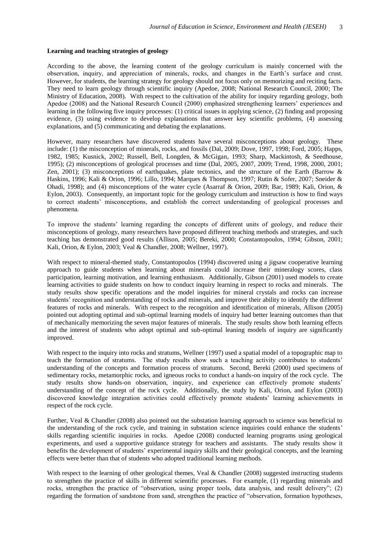#### **Learning and teaching strategies of geology**

According to the above, the learning content of the geology curriculum is mainly concerned with the observation, inquiry, and appreciation of minerals, rocks, and changes in the Earth's surface and crust. However, for students, the learning strategy for geology should not focus only on memorizing and reciting facts. They need to learn geology through scientific inquiry (Apedoe, 2008; National Research Council, 2000; The Ministry of Education, 2008). With respect to the cultivation of the ability for inquiry regarding geology, both Apedoe (2008) and the National Research Council (2000) emphasized strengthening learners' experiences and learning in the following five inquiry processes: (1) critical issues in applying science, (2) finding and proposing evidence, (3) using evidence to develop explanations that answer key scientific problems, (4) assessing explanations, and (5) communicating and debating the explanations.

However, many researchers have discovered students have several misconceptions about geology. These include: (1) the misconception of minerals, rocks, and fossils (Dal, 2009; Dove, 1997, 1998; Ford, 2005; Happs, 1982, 1985; Kusnick, 2002; Russell, Bell, Longden, & McGigan, 1993; Sharp, Mackintosh, & Seedhouse, 1995); (2) misconceptions of geological processes and time (Dal, 2005, 2007, 2009; Trend, 1998, 2000, 2001; Zen, 2001); (3) misconceptions of earthquakes, plate tectonics, and the structure of the Earth (Barrow & Haskins, 1996; Kali & Orion, 1996; Lillo, 1994; Marques & Thompson, 1997; Rutin & Sofer, 2007; Sneider & Ohadi, 1998); and (4) misconceptions of the water cycle (Asarraf & Orion, 2009; Bar, 1989; Kali, Orion, & Eylon, 2003). Consequently, an important topic for the geology curriculum and instruction is how to find ways to correct students' misconceptions, and establish the correct understanding of geological processes and phenomena.

To improve the students' learning regarding the concepts of different units of geology, and reduce their misconceptions of geology, many researchers have proposed different teaching methods and strategies, and such teaching has demonstrated good results (Allison, 2005; Bereki, 2000; Constantopoulos, 1994; Gibson, 2001; Kali, Orion, & Eylon, 2003; Veal & Chandler, 2008; Wellner, 1997).

With respect to mineral-themed study, Constantopoulos (1994) discovered using a jigsaw cooperative learning approach to guide students when learning about minerals could increase their mineralogy scores, class participation, learning motivation, and learning enthusiasm. Additionally, Gibson (2001) used models to create learning activities to guide students on how to conduct inquiry learning in respect to rocks and minerals. The study results show specific operations and the model inquiries for mineral crystals and rocks can increase students' recognition and understanding of rocks and minerals, and improve their ability to identify the different features of rocks and minerals. With respect to the recognition and identification of minerals, Allison (2005) pointed out adopting optimal and sub-optimal learning models of inquiry had better learning outcomes than that of mechanically memorizing the seven major features of minerals. The study results show both learning effects and the interest of students who adopt optimal and sub-optimal leaning models of inquiry are significantly improved.

With respect to the inquiry into rocks and stratums, Wellner (1997) used a spatial model of a topographic map to teach the formation of stratums. The study results show such a teaching activity contributes to students' understanding of the concepts and formation process of stratums. Second, Bereki (2000) used specimens of sedimentary rocks, metamorphic rocks, and igneous rocks to conduct a hands-on inquiry of the rock cycle. The study results show hands-on observation, inquiry, and experience can effectively promote students' understanding of the concept of the rock cycle. Additionally, the study by Kali, Orion, and Eylon (2003) discovered knowledge integration activities could effectively promote students' learning achievements in respect of the rock cycle.

Further, Veal & Chandler (2008) also pointed out the substation learning approach to science was beneficial to the understanding of the rock cycle, and training in substation science inquiries could enhance the students' skills regarding scientific inquiries in rocks. Apedoe (2008) conducted learning programs using geological experiments, and used a supportive guidance strategy for teachers and assistants. The study results show it benefits the development of students' experimental inquiry skills and their geological concepts, and the learning effects were better than that of students who adopted traditional learning methods.

With respect to the learning of other geological themes, Veal & Chandler (2008) suggested instructing students to strengthen the practice of skills in different scientific processes. For example, (1) regarding minerals and rocks, strengthen the practice of "observation, using proper tools, data analysis, and result delivery"; (2) regarding the formation of sandstone from sand, strengthen the practice of "observation, formation hypotheses,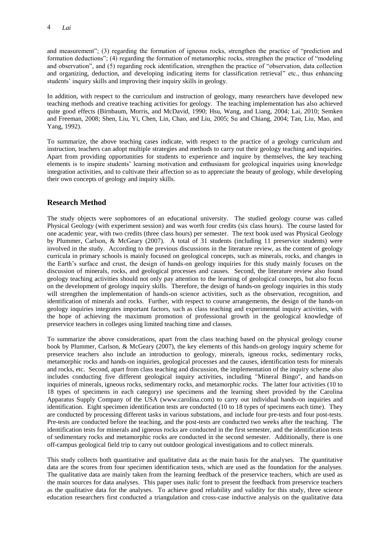and measurement"; (3) regarding the formation of igneous rocks, strengthen the practice of "prediction and formation deductions"; (4) regarding the formation of metamorphic rocks, strengthen the practice of "modeling and observation", and (5) regarding rock identification, strengthen the practice of "observation, data collection and organizing, deduction, and developing indicating items for classification retrieval" etc., thus enhancing students' inquiry skills and improving their inquiry skills in geology.

In addition, with respect to the curriculum and instruction of geology, many researchers have developed new teaching methods and creative teaching activities for geology. The teaching implementation has also achieved quite good effects (Birnbaum, Morris, and McDavid, 1990; Hsu, Wang, and Liang, 2004; Lai, 2010; Semken and Freeman, 2008; Shen, Liu, Yi, Chen, Lin, Chao, and Liu, 2005; Su and Chiang, 2004; Tan, Liu, Mao, and Yang, 1992).

To summarize, the above teaching cases indicate, with respect to the practice of a geology curriculum and instruction, teachers can adopt multiple strategies and methods to carry out their geology teaching and inquiries. Apart from providing opportunities for students to experience and inquire by themselves, the key teaching elements is to inspire students' learning motivation and enthusiasm for geological inquiries using knowledge integration activities, and to cultivate their affection so as to appreciate the beauty of geology, while developing their own concepts of geology and inquiry skills.

# **Research Method**

The study objects were sophomores of an educational university. The studied geology course was called Physical Geology (with experiment session) and was worth four credits (six class hours). The course lasted for one academic year, with two credits (three class hours) per semester. The text book used was Physical Geology by Plummer, Carlson, & McGeary (2007). A total of 31 students (including 11 preservice students) were involved in the study. According to the previous discussions in the literature review, as the content of geology curricula in primary schools is mainly focused on geological concepts, such as minerals, rocks, and changes in the Earth's surface and crust, the design of hands-on geology inquiries for this study mainly focuses on the discussion of minerals, rocks, and geological processes and causes. Second, the literature review also found geology teaching activities should not only pay attention to the learning of geological concepts, but also focus on the development of geology inquiry skills. Therefore, the design of hands-on geology inquiries in this study will strengthen the implementation of hands-on science activities, such as the observation, recognition, and identification of minerals and rocks. Further, with respect to course arrangements, the design of the hands-on geology inquiries integrates important factors, such as class teaching and experimental inquiry activities, with the hope of achieving the maximum promotion of professional growth in the geological knowledge of preservice teachers in colleges using limited teaching time and classes.

To summarize the above considerations, apart from the class teaching based on the physical geology course book by Plummer, Carlson, & McGeary (2007), the key elements of this hands-on geology inquiry scheme for preservice teachers also include an introduction to geology, minerals, igneous rocks, sedimentary rocks, metamorphic rocks and hands-on inquiries, geological processes and the causes, identification tests for minerals and rocks, etc. Second, apart from class teaching and discussion, the implementation of the inquiry scheme also includes conducting five different geological inquiry activities, including "Mineral Bingo", and hands-on inquiries of minerals, igneous rocks, sedimentary rocks, and metamorphic rocks. The latter four activities (10 to 18 types of specimens in each category) use specimens and the learning sheet provided by the Carolina Apparatus Supply Company of the USA (www.carolina.com) to carry out individual hands-on inquiries and identification. Eight specimen identification tests are conducted (10 to 18 types of specimens each time). They are conducted by processing different tasks in various substations, and include four pre-tests and four post-tests. Pre-tests are conducted before the teaching, and the post-tests are conducted two weeks after the teaching. The identification tests for minerals and igneous rocks are conducted in the first semester, and the identification tests of sedimentary rocks and metamorphic rocks are conducted in the second semester. Additionally, there is one off-campus geological field trip to carry out outdoor geological investigations and to collect minerals.

This study collects both quantitative and qualitative data as the main basis for the analyses. The quantitative data are the scores from four specimen identification tests, which are used as the foundation for the analyses. The qualitative data are mainly taken from the learning feedback of the preservice teachers, which are used as the main sources for data analyses. This paper uses *italic* font to present the feedback from preservice teachers as the qualitative data for the analyses. To achieve good reliability and validity for this study, three science education researchers first conducted a triangulation and cross-case inductive analysis on the qualitative data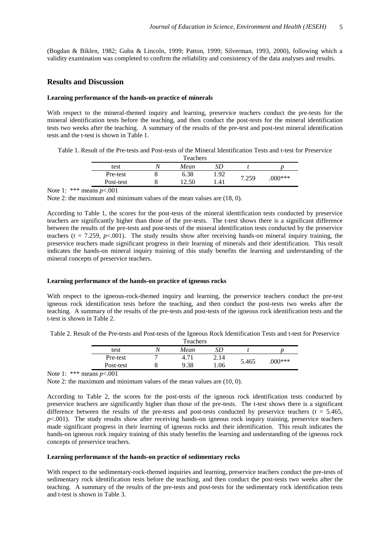(Bogdan & Biklen, 1982; Guba & Lincoln, 1999; Patton, 1999; Silverman, 1993, 2000), following which a validity examination was completed to confirm the reliability and consistency of the data analyses and results.

## **Results and Discussion**

### **Learning performance of the hands-on practice of minerals**

With respect to the mineral-themed inquiry and learning, preservice teachers conduct the pre-tests for the mineral identification tests before the teaching, and then conduct the post-tests for the mineral identification tests two weeks after the teaching. A summary of the results of the pre-test and post-test mineral identification tests and the t-test is shown in Table 1.

| Table 1. Result of the Pre-tests and Post-tests of the Mineral Identification Tests and t-test for Preservice |  |  |
|---------------------------------------------------------------------------------------------------------------|--|--|
|---------------------------------------------------------------------------------------------------------------|--|--|

| <b>Teachers</b> |  |      |      |      |          |
|-----------------|--|------|------|------|----------|
| test            |  | Mean |      |      |          |
| Pre-test        |  | 6.38 | 1.92 | .259 | $000***$ |
| Post-test       |  | 50   | .41  |      |          |

Note 1: \*\*\* means *p*<.001

Note 2: the maximum and minimum values of the mean values are (18, 0).

According to Table 1, the scores for the post-tests of the mineral identification tests conducted by preservice teachers are significantly higher than those of the pre-tests. The t-test shows there is a significant difference between the results of the pre-tests and post-tests of the mineral identification tests conducted by the preservice teachers ( $t = 7.259$ ,  $p < 0.001$ ). The study results show after receiving hands-on mineral inquiry training, the preservice teachers made significant progress in their learning of minerals and their identification. This result indicates the hands-on mineral inquiry training of this study benefits the learning and understanding of the mineral concepts of preservice teachers.

#### **Learning performance of the hands-on practice of igneous rocks**

With respect to the igneous-rock-themed inquiry and learning, the preservice teachers conduct the pre-test igneous rock identification tests before the teaching, and then conduct the post-tests two weeks after the teaching. A summary of the results of the pre-tests and post-tests of the igneous rock identification tests and the t-test is shown in Table 2.

| Table 2. Result of the Pre-tests and Post-tests of the Igneous Rock Identification Tests and t-test for Preservice |  |
|--------------------------------------------------------------------------------------------------------------------|--|
| Teachers                                                                                                           |  |

| Teachers  |  |      |      |       |           |
|-----------|--|------|------|-------|-----------|
| test      |  | Mean | SD   |       |           |
| Pre-test  |  |      | 2.14 | 5.465 |           |
| Post-test |  | 9.38 | .06  |       | $.000***$ |
|           |  |      |      |       |           |

Note 1: \*\*\* means *p*<.001

Note 2: the maximum and minimum values of the mean values are (10, 0).

According to Table 2, the scores for the post-tests of the igneous rock identification tests conducted by preservice teachers are significantly higher than those of the pre-tests. The t-test shows there is a significant difference between the results of the pre-tests and post-tests conducted by preservice teachers ( $t = 5.465$ , *p*<.001). The study results show after receiving hands-on igneous rock inquiry training, preservice teachers made significant progress in their learning of igneous rocks and their identification. This result indicates the hands-on igneous rock inquiry training of this study benefits the learning and understanding of the igneous rock concepts of preservice teachers.

#### **Learning performance of the hands-on practice of sedimentary rocks**

With respect to the sedimentary-rock-themed inquiries and learning, preservice teachers conduct the pre-tests of sedimentary rock identification tests before the teaching, and then conduct the post-tests two weeks after the teaching. A summary of the results of the pre-tests and post-tests for the sedimentary rock identification tests and t-test is shown in Table 3.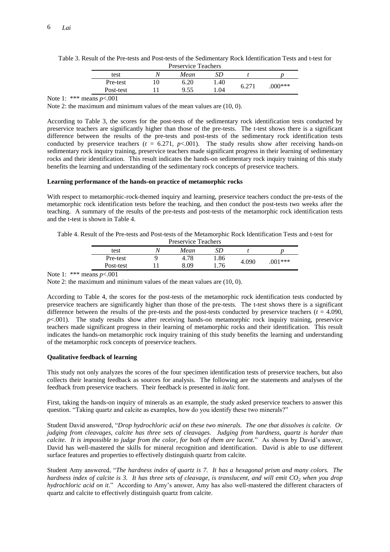| <b>Preservice Teachers</b> |  |      |      |                |          |
|----------------------------|--|------|------|----------------|----------|
| test                       |  | Mean |      |                |          |
| Pre-test                   |  | 6.20 | 1.40 | $6.27^{\circ}$ | $000***$ |
| Post-test                  |  | 9 55 | .04  |                |          |

Table 3. Result of the Pre-tests and Post-tests of the Sedimentary Rock Identification Tests and t-test for

Note 1: \*\*\* means *p*<.001

Note 2: the maximum and minimum values of the mean values are (10, 0).

According to Table 3, the scores for the post-tests of the sedimentary rock identification tests conducted by preservice teachers are significantly higher than those of the pre-tests. The t-test shows there is a significant difference between the results of the pre-tests and post-tests of the sedimentary rock identification tests conducted by preservice teachers  $(t = 6.271, p<.001)$ . The study results show after receiving hands-on sedimentary rock inquiry training, preservice teachers made significant progress in their learning of sedimentary rocks and their identification. This result indicates the hands-on sedimentary rock inquiry training of this study benefits the learning and understanding of the sedimentary rock concepts of preservice teachers.

### **Learning performance of the hands-on practice of metamorphic rocks**

With respect to metamorphic-rock-themed inquiry and learning, preservice teachers conduct the pre-tests of the metamorphic rock identification tests before the teaching, and then conduct the post-tests two weeks after the teaching. A summary of the results of the pre-tests and post-tests of the metamorphic rock identification tests and the t-test is shown in Table 4.

| Table 4. Result of the Pre-tests and Post-tests of the Metamorphic Rock Identification Tests and t-test for |
|-------------------------------------------------------------------------------------------------------------|
| <b>Procorvice Togchers</b>                                                                                  |

| TICSCIVILE TEALIICIS |   |      |      |       |           |  |
|----------------------|---|------|------|-------|-----------|--|
| test                 |   | Mean |      |       |           |  |
| Pre-test             | Ч | 4.78 | 1.86 | 4.090 | $.001***$ |  |
| Post-test            |   | 8.09 | 1.76 |       |           |  |

Note 1: \*\*\* means *p*<.001

Note 2: the maximum and minimum values of the mean values are (10, 0).

According to Table 4, the scores for the post-tests of the metamorphic rock identification tests conducted by preservice teachers are significantly higher than those of the pre-tests. The t-test shows there is a significant difference between the results of the pre-tests and the post-tests conducted by preservice teachers  $(t = 4.090,$  $p$ <.001). The study results show after receiving hands-on metamorphic rock inquiry training, preservice teachers made significant progress in their learning of metamorphic rocks and their identification. This result indicates the hands-on metamorphic rock inquiry training of this study benefits the learning and understanding of the metamorphic rock concepts of preservice teachers.

## **Qualitative feedback of learning**

This study not only analyzes the scores of the four specimen identification tests of preservice teachers, but also collects their learning feedback as sources for analysis. The following are the statements and analyses of the feedback from preservice teachers. Their feedback is presented in *italic* font.

First, taking the hands-on inquiry of minerals as an example, the study asked preservice teachers to answer this question. "Taking quartz and calcite as examples, how do you identify these two minerals?"

Student David answered, "*Drop hydrochloric acid on these two minerals. The one that dissolves is calcite. Or judging from cleavages, calcite has three sets of cleavages. Judging from hardness, quartz is harder than calcite. It is impossible to judge from the color, for both of them are lucent.*" As shown by David's answer, David has well-mastered the skills for mineral recognition and identification. David is able to use different surface features and properties to effectively distinguish quartz from calcite.

Student Amy answered, "*The hardness index of quartz is 7. It has a hexagonal prism and many colors. The hardness index of calcite is 3. It has three sets of cleavage, is translucent, and will emit CO<sup>2</sup> when you drop hydrochloric acid on it*." According to Amy's answer, Amy has also well-mastered the different characters of quartz and calcite to effectively distinguish quartz from calcite.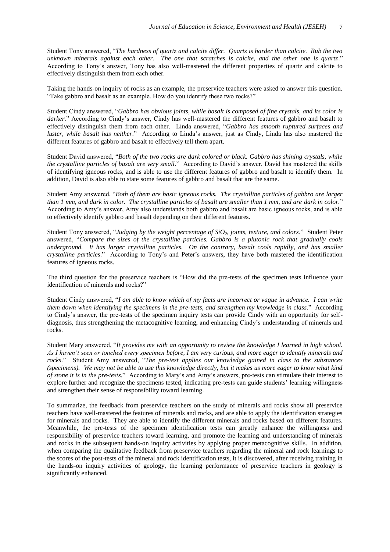Student Tony answered, "*The hardness of quartz and calcite differ. Quartz is harder than calcite. Rub the two unknown minerals against each other. The one that scratches is calcite, and the other one is quartz*." According to Tony's answer, Tony has also well-mastered the different properties of quartz and calcite to effectively distinguish them from each other.

Taking the hands-on inquiry of rocks as an example, the preservice teachers were asked to answer this question. "Take gabbro and basalt as an example. How do you identify these two rocks?"

Student Cindy answered, "*Gabbro has obvious joints, while basalt is composed of fine crystals, and its color is darker.*" According to Cindy's answer, Cindy has well-mastered the different features of gabbro and basalt to effectively distinguish them from each other. Linda answered, "*Gabbro has smooth ruptured surfaces and luster, while basalt has neither*." According to Linda's answer, just as Cindy, Linda has also mastered the different features of gabbro and basalt to effectively tell them apart.

Student David answered, "*Both of the two rocks are dark colored or black. Gabbro has shining crystals, while the crystalline particles of basalt are very small*." According to David's answer, David has mastered the skills of identifying igneous rocks, and is able to use the different features of gabbro and basalt to identify them. In addition, David is also able to state some features of gabbro and basalt that are the same.

Student Amy answered, "*Both of them are basic igneous rocks. The crystalline particles of gabbro are larger than 1 mm, and dark in color. The crystalline particles of basalt are smaller than 1 mm, and are dark in color.*" According to Amy's answer, Amy also understands both gabbro and basalt are basic igneous rocks, and is able to effectively identify gabbro and basalt depending on their different features.

Student Tony answered, "*Judging by the weight percentage of SiO2, joints, texture, and colors*." Student Peter answered, "*Compare the sizes of the crystalline particles. Gabbro is a plutonic rock that gradually cools underground. It has larger crystalline particles. On the contrary, basalt cools rapidly, and has smaller crystalline particles*." According to Tony's and Peter's answers, they have both mastered the identification features of igneous rocks.

The third question for the preservice teachers is "How did the pre-tests of the specimen tests influence your identification of minerals and rocks?"

Student Cindy answered, "*I am able to know which of my facts are incorrect or vague in advance. I can write them down when identifying the specimens in the pre-tests, and strengthen my knowledge in class*." According to Cindy's answer, the pre-tests of the specimen inquiry tests can provide Cindy with an opportunity for selfdiagnosis, thus strengthening the metacognitive learning, and enhancing Cindy's understanding of minerals and rocks.

Student Mary answered, "*It provides me with an opportunity to review the knowledge I learned in high school. As I haven't seen or touched every specimen before, I am very curious, and more eager to identify minerals and rocks*." Student Amy answered, "*The pre-test applies our knowledge gained in class to the substances (specimens). We may not be able to use this knowledge directly, but it makes us more eager to know what kind of stone it is in the pre-tests*." According to Mary's and Amy's answers, pre-tests can stimulate their interest to explore further and recognize the specimens tested, indicating pre-tests can guide students' learning willingness and strengthen their sense of responsibility toward learning.

To summarize, the feedback from preservice teachers on the study of minerals and rocks show all preservice teachers have well-mastered the features of minerals and rocks, and are able to apply the identification strategies for minerals and rocks. They are able to identify the different minerals and rocks based on different features. Meanwhile, the pre-tests of the specimen identification tests can greatly enhance the willingness and responsibility of preservice teachers toward learning, and promote the learning and understanding of minerals and rocks in the subsequent hands-on inquiry activities by applying proper metacognitive skills. In addition, when comparing the qualitative feedback from preservice teachers regarding the mineral and rock learnings to the scores of the post-tests of the mineral and rock identification tests, it is discovered, after receiving training in the hands-on inquiry activities of geology, the learning performance of preservice teachers in geology is significantly enhanced.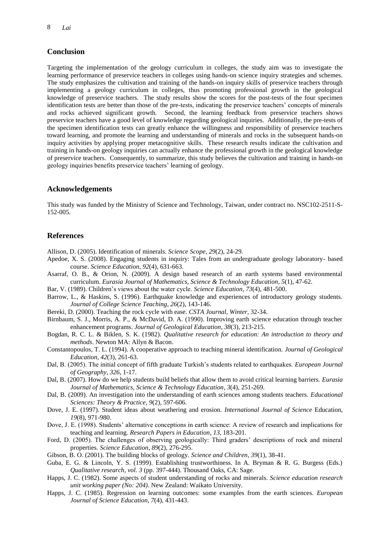## **Conclusion**

Targeting the implementation of the geology curriculum in colleges, the study aim was to investigate the learning performance of preservice teachers in colleges using hands-on science inquiry strategies and schemes. The study emphasizes the cultivation and training of the hands-on inquiry skills of preservice teachers through implementing a geology curriculum in colleges, thus promoting professional growth in the geological knowledge of preservice teachers. The study results show the scores for the post-tests of the four specimen identification tests are better than those of the pre-tests, indicating the preservice teachers' concepts of minerals and rocks achieved significant growth. Second, the learning feedback from preservice teachers shows preservice teachers have a good level of knowledge regarding geological inquiries. Additionally, the pre-tests of the specimen identification tests can greatly enhance the willingness and responsibility of preservice teachers toward learning, and promote the learning and understanding of minerals and rocks in the subsequent hands-on inquiry activities by applying proper metacognitive skills. These research results indicate the cultivation and training in hands-on geology inquiries can actually enhance the professional growth in the geological knowledge of preservice teachers. Consequently, to summarize, this study believes the cultivation and training in hands-on geology inquiries benefits preservice teachers' learning of geology.

## **Acknowledgements**

This study was funded by the Ministry of Science and Technology, Taiwan, under contract no. NSC102-2511-S-152-005.

## **References**

Allison, D. (2005). Identification of minerals. *Science Scope*, *29*(2), 24-29.

- Apedoe, X. S. (2008). Engaging students in inquiry: Tales from an undergraduate geology laboratory- based course. *Science Education*, *92*(4), 631-663.
- Asarraf, O. B., & Orion, N. (2009). A design based research of an earth systems based environmental curriculum. *Eurasia Journal of Mathematics, Science & Technology Education*, *5*(1), 47-62.
- Bar, V. (1989). Children's views about the water cycle. *Science Education*, *73*(4), 481-500.
- Barrow, L., & Haskins, S. (1996). Earthquake knowledge and experiences of introductory geology students. *Journal of College Science Teaching*, *26*(2), 143-146.
- Bereki, D. (2000). Teaching the rock cycle with ease. *CSTA Journal*, *Winter*, 32-34.
- Birnbaum, S. J., Morris, A. P., & McDavid, D. A. (1990). Improving earth science education through teacher enhancement programs. *Journal of Geological Education*, *38*(3), 213-215.
- Bogdan, R. C. L. & Biklen, S. K. (1982). *Qualitative research for education: An introduction to theory and methods*. Newton MA: Allyn & Bacon.
- Constantopoulos, T. L. (1994). A cooperative approach to teaching mineral identification. *Journal of Geological Education*, *42*(3), 261-63.
- Dal, B. (2005). The initial concept of fifth graduate Turkish's students related to earthquakes. *European Journal of Geography*, *326*, 1-17.
- Dal, B. (2007). How do we help students build beliefs that allow them to avoid critical learning barriers. *Eurasia Journal of Mathematics, Science & Technology Education*, *3*(4), 251-269.
- Dal, B. (2009). An investigation into the understanding of earth sciences among students teachers. *Educational Sciences: Theory & Practice*, *9*(2), 597-606.
- Dove, J. E. (1997). Student ideas about weathering and erosion. *International Journal of Science* Education, *19*(8), 971-980.
- Dove, J. E. (1998). Students' alternative conceptions in earth science: A review of research and implications for teaching and learning. *Research Papers in Education*, *13*, 183-201.
- Ford, D. (2005). The challenges of observing geologically: Third graders' descriptions of rock and mineral properties. *Science Education*, *89*(2), 276-295.
- Gibson, B. O. (2001). The building blocks of geology. *Science and Children*, *39*(1), 38-41.
- Guba, E. G. & Lincoln, Y. S. (1999). Establishing trustworthiness. In A. Bryman & R. G. Burgess (Eds.) *Qualitative research, vol. 3* (pp. 397-444). Thousand Oaks, CA: Sage.
- Happs, J. C. (1982). Some aspects of student understanding of rocks and minerals. *Science education research unit working paper (No: 204)*. New Zealand: Waikato University.
- Happs, J. C. (1985). Regression on learning outcomes: some examples from the earth sciences. *European Journal of Science Education*, *7*(4), 431-443.